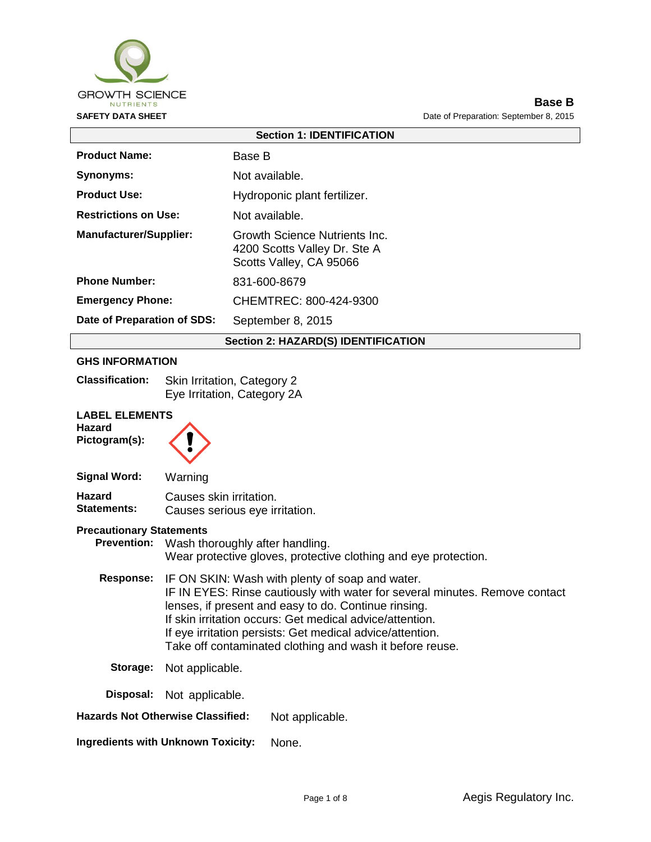

**Base B SAFETY DATA SHEET DATA SHEET Date of Preparation: September 8, 2015** 

| <b>Section 1: IDENTIFICATION</b>                        |                                                                                          |  |
|---------------------------------------------------------|------------------------------------------------------------------------------------------|--|
| <b>Product Name:</b>                                    | Base B                                                                                   |  |
| <b>Synonyms:</b>                                        | Not available.                                                                           |  |
| <b>Product Use:</b>                                     | Hydroponic plant fertilizer.                                                             |  |
| <b>Restrictions on Use:</b>                             | Not available.                                                                           |  |
| <b>Manufacturer/Supplier:</b>                           | Growth Science Nutrients Inc.<br>4200 Scotts Valley Dr. Ste A<br>Scotts Valley, CA 95066 |  |
| <b>Phone Number:</b>                                    | 831-600-8679                                                                             |  |
| <b>Emergency Phone:</b>                                 | CHEMTREC: 800-424-9300                                                                   |  |
| Date of Preparation of SDS:                             | September 8, 2015                                                                        |  |
| <b>Section 2: HAZARD(S) IDENTIFICATION</b>              |                                                                                          |  |
| <b>GHS INFORMATION</b>                                  |                                                                                          |  |
| <b>Classification:</b>                                  | Skin Irritation, Category 2<br>Eye Irritation, Category 2A                               |  |
| <b>LABEL ELEMENTS</b><br><b>Hazard</b><br>Pictogram(s): |                                                                                          |  |
| <b>Signal Word:</b>                                     | Warning                                                                                  |  |

#### **Hazard Statements:** Causes skin irritation. Causes serious eye irritation.

#### **Precautionary Statements**

**Prevention:** Wash thoroughly after handling. Wear protective gloves, protective clothing and eye protection.

- **Response:** IF ON SKIN: Wash with plenty of soap and water. IF IN EYES: Rinse cautiously with water for several minutes. Remove contact lenses, if present and easy to do. Continue rinsing. If skin irritation occurs: Get medical advice/attention. If eye irritation persists: Get medical advice/attention. Take off contaminated clothing and wash it before reuse.
	- **Storage:** Not applicable.

**Disposal:** Not applicable.

**Hazards Not Otherwise Classified:** Not applicable.

**Ingredients with Unknown Toxicity:** None.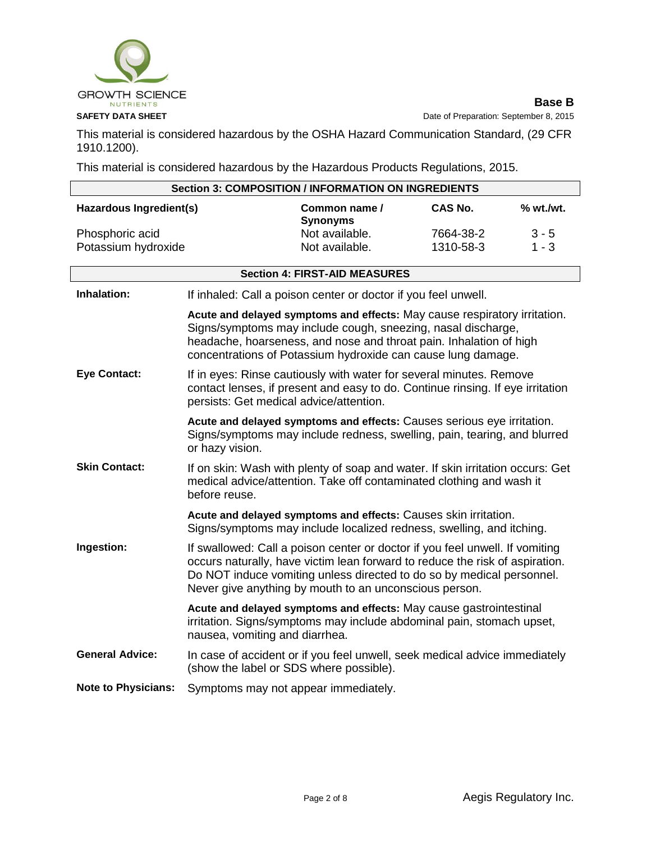

**Base B SAFETY DATA SHEET** Date of Preparation: September 8, 2015

This material is considered hazardous by the OSHA Hazard Communication Standard, (29 CFR 1910.1200).

This material is considered hazardous by the Hazardous Products Regulations, 2015.

| <b>Section 3: COMPOSITION / INFORMATION ON INGREDIENTS</b> |                                         |                                                                                                                                                                                                                                                                                                 |           |           |
|------------------------------------------------------------|-----------------------------------------|-------------------------------------------------------------------------------------------------------------------------------------------------------------------------------------------------------------------------------------------------------------------------------------------------|-----------|-----------|
| Hazardous Ingredient(s)                                    |                                         | Common name /<br><b>Synonyms</b>                                                                                                                                                                                                                                                                | CAS No.   | % wt./wt. |
| Phosphoric acid                                            |                                         | Not available.                                                                                                                                                                                                                                                                                  | 7664-38-2 | $3 - 5$   |
| Potassium hydroxide                                        |                                         | Not available.                                                                                                                                                                                                                                                                                  | 1310-58-3 | $1 - 3$   |
|                                                            |                                         |                                                                                                                                                                                                                                                                                                 |           |           |
|                                                            |                                         | <b>Section 4: FIRST-AID MEASURES</b>                                                                                                                                                                                                                                                            |           |           |
| Inhalation:                                                |                                         | If inhaled: Call a poison center or doctor if you feel unwell.                                                                                                                                                                                                                                  |           |           |
|                                                            |                                         | Acute and delayed symptoms and effects: May cause respiratory irritation.<br>Signs/symptoms may include cough, sneezing, nasal discharge,<br>headache, hoarseness, and nose and throat pain. Inhalation of high<br>concentrations of Potassium hydroxide can cause lung damage.                 |           |           |
| <b>Eye Contact:</b>                                        | persists: Get medical advice/attention. | If in eyes: Rinse cautiously with water for several minutes. Remove<br>contact lenses, if present and easy to do. Continue rinsing. If eye irritation                                                                                                                                           |           |           |
|                                                            | or hazy vision.                         | Acute and delayed symptoms and effects: Causes serious eye irritation.<br>Signs/symptoms may include redness, swelling, pain, tearing, and blurred                                                                                                                                              |           |           |
| <b>Skin Contact:</b>                                       | before reuse.                           | If on skin: Wash with plenty of soap and water. If skin irritation occurs: Get<br>medical advice/attention. Take off contaminated clothing and wash it                                                                                                                                          |           |           |
|                                                            |                                         | Acute and delayed symptoms and effects: Causes skin irritation.<br>Signs/symptoms may include localized redness, swelling, and itching.                                                                                                                                                         |           |           |
| Ingestion:                                                 |                                         | If swallowed: Call a poison center or doctor if you feel unwell. If vomiting<br>occurs naturally, have victim lean forward to reduce the risk of aspiration.<br>Do NOT induce vomiting unless directed to do so by medical personnel.<br>Never give anything by mouth to an unconscious person. |           |           |
|                                                            | nausea, vomiting and diarrhea.          | Acute and delayed symptoms and effects: May cause gastrointestinal<br>irritation. Signs/symptoms may include abdominal pain, stomach upset,                                                                                                                                                     |           |           |
| <b>General Advice:</b>                                     | (show the label or SDS where possible). | In case of accident or if you feel unwell, seek medical advice immediately                                                                                                                                                                                                                      |           |           |
| <b>Note to Physicians:</b>                                 | Symptoms may not appear immediately.    |                                                                                                                                                                                                                                                                                                 |           |           |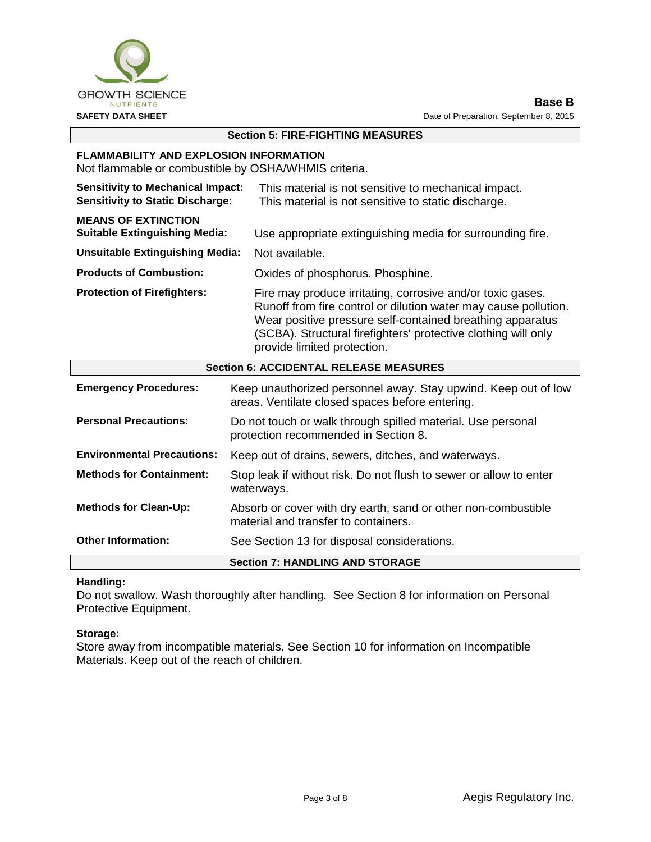

## **Section 5: FIRE-FIGHTING MEASURES**

#### **FLAMMABILITY AND EXPLOSION INFORMATION**

Not flammable or combustible by OSHA/WHMIS criteria.

| <b>Section 6: ACCIDENTAL RELEASE MEASURES</b>                                                                                                                                                                                                                                                                                     |                                                                                                             |  |
|-----------------------------------------------------------------------------------------------------------------------------------------------------------------------------------------------------------------------------------------------------------------------------------------------------------------------------------|-------------------------------------------------------------------------------------------------------------|--|
| Fire may produce irritating, corrosive and/or toxic gases.<br><b>Protection of Firefighters:</b><br>Runoff from fire control or dilution water may cause pollution.<br>Wear positive pressure self-contained breathing apparatus<br>(SCBA). Structural firefighters' protective clothing will only<br>provide limited protection. |                                                                                                             |  |
| <b>Products of Combustion:</b>                                                                                                                                                                                                                                                                                                    | Oxides of phosphorus. Phosphine.                                                                            |  |
| <b>Unsuitable Extinguishing Media:</b>                                                                                                                                                                                                                                                                                            | Not available.                                                                                              |  |
| <b>MEANS OF EXTINCTION</b><br><b>Suitable Extinguishing Media:</b>                                                                                                                                                                                                                                                                | Use appropriate extinguishing media for surrounding fire.                                                   |  |
| <b>Sensitivity to Mechanical Impact:</b><br><b>Sensitivity to Static Discharge:</b>                                                                                                                                                                                                                                               | This material is not sensitive to mechanical impact.<br>This material is not sensitive to static discharge. |  |

| <b>Section 6: ACCIDENTAL RELEASE MEASURES</b> |                                                                                                                   |  |
|-----------------------------------------------|-------------------------------------------------------------------------------------------------------------------|--|
| <b>Emergency Procedures:</b>                  | Keep unauthorized personnel away. Stay upwind. Keep out of low<br>areas. Ventilate closed spaces before entering. |  |
| <b>Personal Precautions:</b>                  | Do not touch or walk through spilled material. Use personal<br>protection recommended in Section 8.               |  |
| <b>Environmental Precautions:</b>             | Keep out of drains, sewers, ditches, and waterways.                                                               |  |
| <b>Methods for Containment:</b>               | Stop leak if without risk. Do not flush to sewer or allow to enter<br>waterways.                                  |  |
| <b>Methods for Clean-Up:</b>                  | Absorb or cover with dry earth, sand or other non-combustible<br>material and transfer to containers.             |  |
| <b>Other Information:</b>                     | See Section 13 for disposal considerations.                                                                       |  |
| <b>Section 7: HANDLING AND STORAGE</b>        |                                                                                                                   |  |

#### **Handling:**

Do not swallow. Wash thoroughly after handling. See Section 8 for information on Personal Protective Equipment.

#### **Storage:**

Store away from incompatible materials. See Section 10 for information on Incompatible Materials. Keep out of the reach of children.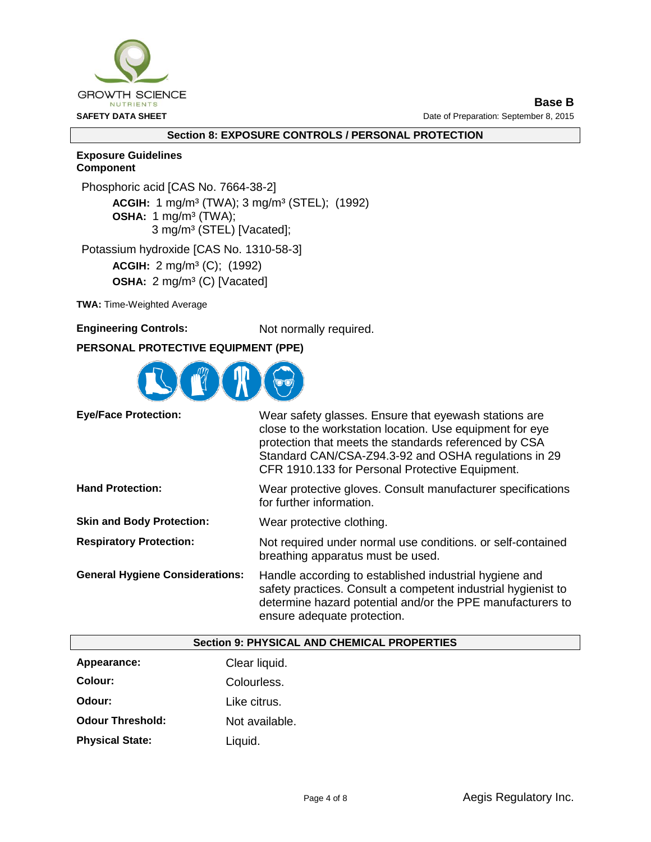

**Base B SAFETY DATA SHEET DATA SHEET Date of Preparation: September 8, 2015** 

### **Section 8: EXPOSURE CONTROLS / PERSONAL PROTECTION**

#### **Exposure Guidelines Component**

Phosphoric acid [CAS No. 7664-38-2] **ACGIH:** 1 mg/m³ (TWA); 3 mg/m³ (STEL); (1992) **OSHA:** 1 mg/m<sup>3</sup> (TWA); 3 mg/m³ (STEL) [Vacated]; Potassium hydroxide [CAS No. 1310-58-3]

**ACGIH:** 2 mg/m³ (C); (1992) **OSHA:** 2 mg/m<sup>3</sup> (C) [Vacated]

**TWA:** Time-Weighted Average

**Engineering Controls:** Not normally required.

# **PERSONAL PROTECTIVE EQUIPMENT (PPE)**



| <b>Eye/Face Protection:</b>            | Wear safety glasses. Ensure that eyewash stations are<br>close to the workstation location. Use equipment for eye<br>protection that meets the standards referenced by CSA<br>Standard CAN/CSA-Z94.3-92 and OSHA regulations in 29<br>CFR 1910.133 for Personal Protective Equipment. |
|----------------------------------------|---------------------------------------------------------------------------------------------------------------------------------------------------------------------------------------------------------------------------------------------------------------------------------------|
| <b>Hand Protection:</b>                | Wear protective gloves. Consult manufacturer specifications<br>for further information.                                                                                                                                                                                               |
| <b>Skin and Body Protection:</b>       | Wear protective clothing.                                                                                                                                                                                                                                                             |
| <b>Respiratory Protection:</b>         | Not required under normal use conditions. or self-contained<br>breathing apparatus must be used.                                                                                                                                                                                      |
| <b>General Hygiene Considerations:</b> | Handle according to established industrial hygiene and<br>safety practices. Consult a competent industrial hygienist to<br>determine hazard potential and/or the PPE manufacturers to<br>ensure adequate protection.                                                                  |

|                         | <b>Section 9: PHYSICAL AND CHEMICAL PROPERTIES</b> |
|-------------------------|----------------------------------------------------|
| Appearance:             | Clear liquid.                                      |
| Colour:                 | Colourless.                                        |
| Odour:                  | Like citrus.                                       |
| <b>Odour Threshold:</b> | Not available.                                     |
| <b>Physical State:</b>  | Liquid.                                            |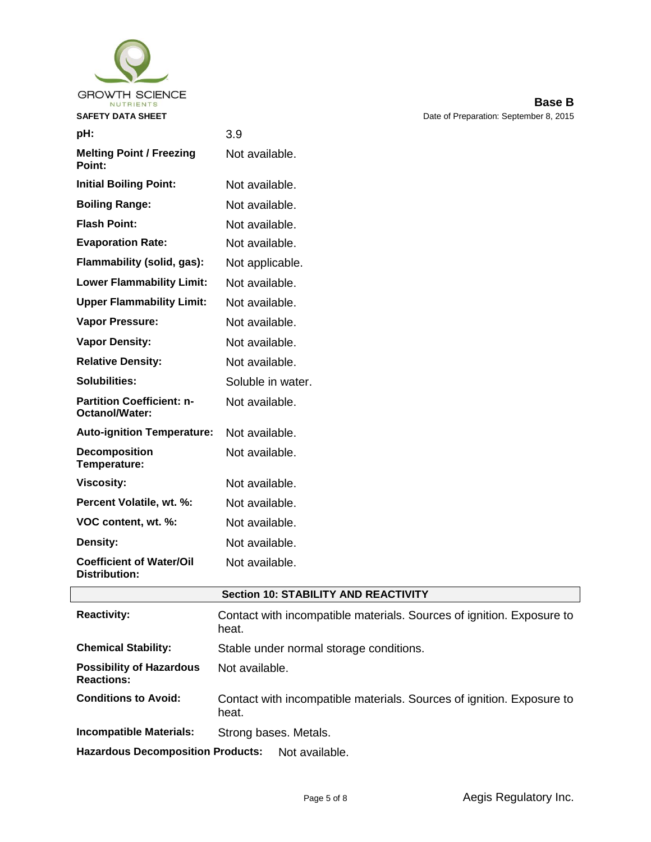

**Distribution:**

| <b>SAFETY DATA SHEET</b>                           |                   | Date of Preparation: September 8, 2015 |
|----------------------------------------------------|-------------------|----------------------------------------|
| pH:                                                | 3.9               |                                        |
| <b>Melting Point / Freezing</b><br>Point:          | Not available.    |                                        |
| <b>Initial Boiling Point:</b>                      | Not available.    |                                        |
| <b>Boiling Range:</b>                              | Not available.    |                                        |
| <b>Flash Point:</b>                                | Not available.    |                                        |
| <b>Evaporation Rate:</b>                           | Not available.    |                                        |
| Flammability (solid, gas):                         | Not applicable.   |                                        |
| <b>Lower Flammability Limit:</b>                   | Not available.    |                                        |
| <b>Upper Flammability Limit:</b>                   | Not available.    |                                        |
| Vapor Pressure:                                    | Not available.    |                                        |
| <b>Vapor Density:</b>                              | Not available.    |                                        |
| <b>Relative Density:</b>                           | Not available.    |                                        |
| <b>Solubilities:</b>                               | Soluble in water. |                                        |
| <b>Partition Coefficient: n-</b><br>Octanol/Water: | Not available.    |                                        |
| <b>Auto-ignition Temperature:</b>                  | Not available.    |                                        |
| Decomposition<br>Temperature:                      | Not available.    |                                        |
| <b>Viscosity:</b>                                  | Not available.    |                                        |
| Percent Volatile, wt. %:                           | Not available.    |                                        |
| VOC content, wt. %:                                | Not available.    |                                        |
| Density:                                           | Not available.    |                                        |
| <b>Coefficient of Water/Oil</b>                    | Not available.    |                                        |

# **Section 10: STABILITY AND REACTIVITY**

| <b>Reactivity:</b>                                         | Contact with incompatible materials. Sources of ignition. Exposure to<br>heat. |
|------------------------------------------------------------|--------------------------------------------------------------------------------|
| <b>Chemical Stability:</b>                                 | Stable under normal storage conditions.                                        |
| <b>Possibility of Hazardous</b><br><b>Reactions:</b>       | Not available.                                                                 |
| <b>Conditions to Avoid:</b>                                | Contact with incompatible materials. Sources of ignition. Exposure to<br>heat. |
| <b>Incompatible Materials:</b>                             | Strong bases. Metals.                                                          |
| <b>Hazardous Decomposition Products:</b><br>Not available. |                                                                                |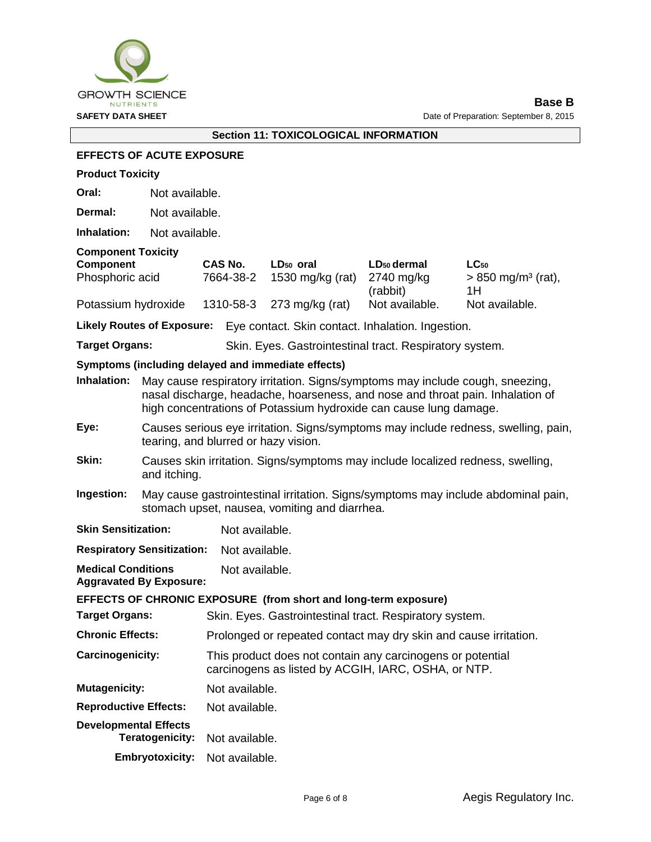

# **Section 11: TOXICOLOGICAL INFORMATION**

#### **EFFECTS OF ACUTE EXPOSURE**

|  | <b>Product Toxicity</b> |
|--|-------------------------|
|--|-------------------------|

**Oral:** Not available.

**Dermal:** Not available.

**Inhalation:** Not available.

#### **Component Toxicity**

| Component           | <b>CAS No.</b> | LD <sub>50</sub> oral     | LD <sub>50</sub> dermal | $LC_{50}$                        |
|---------------------|----------------|---------------------------|-------------------------|----------------------------------|
| Phosphoric acid     | 7664-38-2      | 1530 mg/kg (rat)          | 2740 mg/ka              | $> 850$ mg/m <sup>3</sup> (rat), |
|                     |                |                           | (rabbit)                | 1H                               |
| Potassium hydroxide |                | 1310-58-3 273 mg/kg (rat) | Not available.          | Not available.                   |

**Likely Routes of Exposure:** Eye contact. Skin contact. Inhalation. Ingestion.

Target Organs: Skin. Eyes. Gastrointestinal tract. Respiratory system.

#### **Symptoms (including delayed and immediate effects)**

| Inhalation: | May cause respiratory irritation. Signs/symptoms may include cough, sneezing,<br>nasal discharge, headache, hoarseness, and nose and throat pain. Inhalation of<br>high concentrations of Potassium hydroxide can cause lung damage. |
|-------------|--------------------------------------------------------------------------------------------------------------------------------------------------------------------------------------------------------------------------------------|
| Eye:        | Causes serious eye irritation. Signs/symptoms may include redness, swelling, pain,<br>tearing, and blurred or hazy vision.                                                                                                           |
| Skin:       | Causes skin irritation. Signs/symptoms may include localized redness, swelling,<br>and itching.                                                                                                                                      |
| Ingestion:  | May cause gastrointestinal irritation. Signs/symptoms may include abdominal pain,<br>stomach upset, nausea, vomiting and diarrhea.                                                                                                   |

**Skin Sensitization:** Not available.

**Respiratory Sensitization:** Not available.

**Medical Conditions**  Not available.

**Aggravated By Exposure:**

#### **EFFECTS OF CHRONIC EXPOSURE (from short and long-term exposure)**

| Skin. Eyes. Gastrointestinal tract. Respiratory system.                                                           |
|-------------------------------------------------------------------------------------------------------------------|
| Prolonged or repeated contact may dry skin and cause irritation.                                                  |
| This product does not contain any carcinogens or potential<br>carcinogens as listed by ACGIH, IARC, OSHA, or NTP. |
| Not available.                                                                                                    |
| Not available.                                                                                                    |
| Not available.                                                                                                    |
|                                                                                                                   |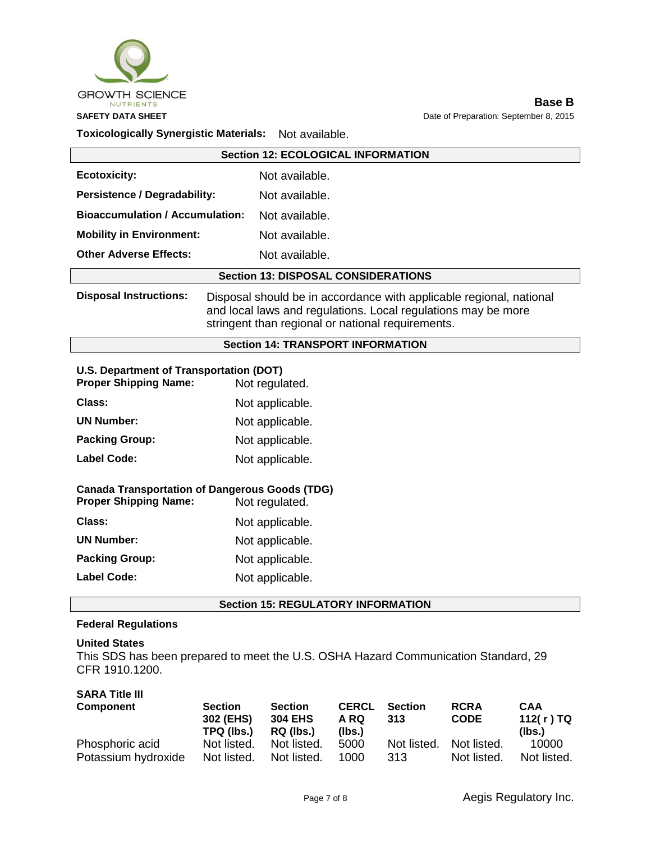

**Base B SAFETY DATA SHEET DATA SHEET Date of Preparation: September 8, 2015** 

#### **Toxicologically Synergistic Materials:** Not available.

| <b>Section 12: ECOLOGICAL INFORMATION</b>                                                                                                                                                                                  |                |  |
|----------------------------------------------------------------------------------------------------------------------------------------------------------------------------------------------------------------------------|----------------|--|
| <b>Ecotoxicity:</b>                                                                                                                                                                                                        | Not available. |  |
| <b>Persistence / Degradability:</b>                                                                                                                                                                                        | Not available. |  |
| <b>Bioaccumulation / Accumulation:</b><br>Not available.                                                                                                                                                                   |                |  |
| <b>Mobility in Environment:</b>                                                                                                                                                                                            | Not available. |  |
| <b>Other Adverse Effects:</b>                                                                                                                                                                                              | Not available. |  |
| <b>Section 13: DISPOSAL CONSIDERATIONS</b>                                                                                                                                                                                 |                |  |
| <b>Disposal Instructions:</b><br>Disposal should be in accordance with applicable regional, national<br>and local laws and regulations. Local regulations may be more<br>stringent than regional or national requirements. |                |  |
| <b>Section 14: TRANSPORT INFORMATION</b>                                                                                                                                                                                   |                |  |

# **U.S. Department of Transportation (DOT)**

| <b>Proper Shipping Name:</b> | Not regulated.  |
|------------------------------|-----------------|
| Class:                       | Not applicable. |
| <b>UN Number:</b>            | Not applicable. |
| <b>Packing Group:</b>        | Not applicable. |
| <b>Label Code:</b>           | Not applicable. |
|                              |                 |

#### **Canada Transportation of Dangerous Goods (TDG)**

| <b>Proper Shipping Name:</b> | Not regulated.  |
|------------------------------|-----------------|
| Class:                       | Not applicable. |
| <b>UN Number:</b>            | Not applicable. |
| <b>Packing Group:</b>        | Not applicable. |
| <b>Label Code:</b>           | Not applicable. |

#### **Section 15: REGULATORY INFORMATION**

#### **Federal Regulations**

#### **United States**

This SDS has been prepared to meet the U.S. OSHA Hazard Communication Standard, 29 CFR 1910.1200.

#### **SARA Title III**

| Component           | <b>Section</b><br>302 (EHS)<br>TPQ (lbs.) | <b>Section</b><br><b>304 EHS</b><br>RQ (lbs.) | <b>CERCL</b><br>A RQ<br>(lbs.) | <b>Section</b><br>313 | <b>RCRA</b><br><b>CODE</b> | <b>CAA</b><br>112(r)TQ<br>(lbs.) |
|---------------------|-------------------------------------------|-----------------------------------------------|--------------------------------|-----------------------|----------------------------|----------------------------------|
| Phosphoric acid     | Not listed.                               | Not listed.                                   | 5000                           | Not listed.           | Not listed.                | 10000                            |
| Potassium hydroxide | Not listed.                               | Not listed.                                   | 1000                           | 313                   | Not listed.                | Not listed.                      |